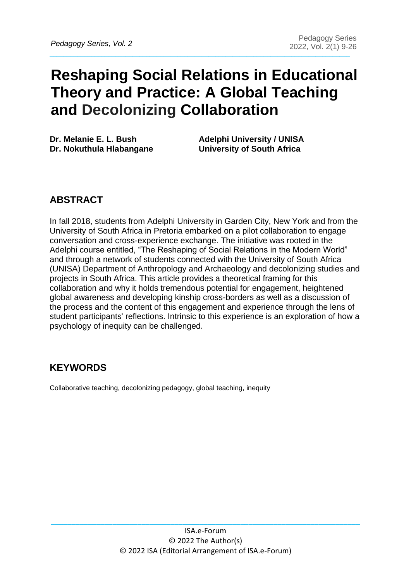# **Reshaping Social Relations in Educational Theory and Practice: A Global Teaching and Decolonizing Collaboration**

**Dr.** Melanie E. L. Bush Adelphi University / UNISA **Dr. Nokuthula Hlabangane University of South Africa** 

# **ABSTRACT**

In fall 2018, students from Adelphi University in Garden City, New York and from the University of South Africa in Pretoria embarked on a pilot collaboration to engage conversation and cross-experience exchange. The initiative was rooted in the Adelphi course entitled, "The Reshaping of Social Relations in the Modern World" and through a network of students connected with the University of South Africa (UNISA) Department of Anthropology and Archaeology and decolonizing studies and projects in South Africa. This article provides a theoretical framing for this collaboration and why it holds tremendous potential for engagement, heightened global awareness and developing kinship cross-borders as well as a discussion of the process and the content of this engagement and experience through the lens of student participants' reflections. Intrinsic to this experience is an exploration of how a psychology of inequity can be challenged.

# **KEYWORDS**

Collaborative teaching, decolonizing pedagogy, global teaching, inequity

\_\_\_\_\_\_\_\_\_\_\_\_\_\_\_\_\_\_\_\_\_\_\_\_\_\_\_\_\_\_\_\_\_\_\_\_\_\_\_\_\_\_\_\_\_\_\_\_\_\_\_\_\_\_\_\_\_\_\_\_\_\_\_\_\_\_\_\_\_\_\_\_\_\_\_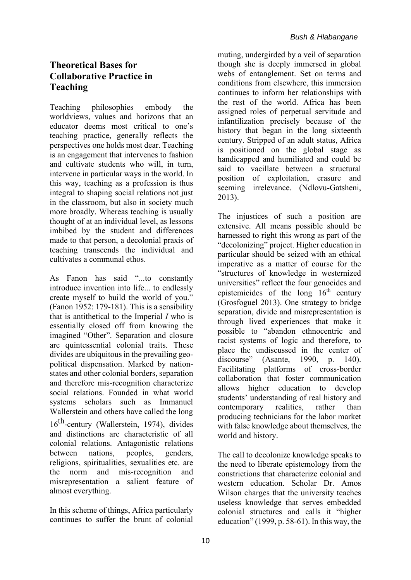### **Theoretical Bases for Collaborative Practice in Teaching**

Teaching philosophies embody the worldviews, values and horizons that an educator deems most critical to one's teaching practice, generally reflects the perspectives one holds most dear. Teaching is an engagement that intervenes to fashion and cultivate students who will, in turn, intervene in particular ways in the world. In this way, teaching as a profession is thus integral to shaping social relations not just in the classroom, but also in society much more broadly. Whereas teaching is usually thought of at an individual level, as lessons imbibed by the student and differences made to that person, a decolonial praxis of teaching transcends the individual and cultivates a communal ethos.

As Fanon has said "...to constantly introduce invention into life... to endlessly create myself to build the world of you." (Fanon 1952: 179-181). This is a sensibility that is antithetical to the Imperial *I* who is essentially closed off from knowing the imagined "Other". Separation and closure are quintessential colonial traits. These divides are ubiquitous in the prevailing geopolitical dispensation. Marked by nationstates and other colonial borders, separation and therefore mis-recognition characterize social relations. Founded in what world systems scholars such as Immanuel Wallerstein and others have called the long 16th -century (Wallerstein, 1974), divides and distinctions are characteristic of all colonial relations. Antagonistic relations between nations, peoples, genders, religions, spiritualities, sexualities etc. are the norm and mis-recognition and misrepresentation a salient feature of almost everything.

In this scheme of things, Africa particularly continues to suffer the brunt of colonial

muting, undergirded by a veil of separation though she is deeply immersed in global webs of entanglement. Set on terms and conditions from elsewhere, this immersion continues to inform her relationships with the rest of the world. Africa has been assigned roles of perpetual servitude and infantilization precisely because of the history that began in the long sixteenth century. Stripped of an adult status, Africa is positioned on the global stage as handicapped and humiliated and could be said to vacillate between a structural position of exploitation, erasure and seeming irrelevance. (Ndlovu-Gatsheni, 2013).

The injustices of such a position are extensive. All means possible should be harnessed to right this wrong as part of the "decolonizing" project. Higher education in particular should be seized with an ethical imperative as a matter of course for the "structures of knowledge in westernized universities" reflect the four genocides and epistemicides of the long  $16<sup>th</sup>$  century (Grosfoguel 2013). One strategy to bridge separation, divide and misrepresentation is through lived experiences that make it possible to "abandon ethnocentric and racist systems of logic and therefore, to place the undiscussed in the center of discourse" (Asante, 1990, p. 140). Facilitating platforms of cross-border collaboration that foster communication allows higher education to develop students' understanding of real history and contemporary realities, rather than producing technicians for the labor market with false knowledge about themselves, the world and history.

The call to decolonize knowledge speaks to the need to liberate epistemology from the constrictions that characterize colonial and western education. Scholar Dr. Amos Wilson charges that the university teaches useless knowledge that serves embedded colonial structures and calls it "higher education" (1999, p. 58-61). In this way, the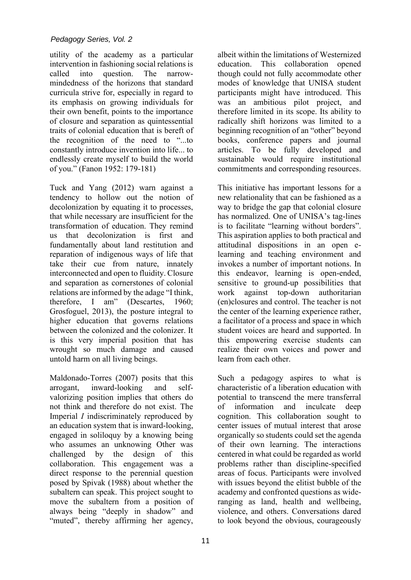utility of the academy as a particular intervention in fashioning social relations is called into question. The narrowmindedness of the horizons that standard curricula strive for, especially in regard to its emphasis on growing individuals for their own benefit, points to the importance of closure and separation as quintessential traits of colonial education that is bereft of the recognition of the need to "...to constantly introduce invention into life... to endlessly create myself to build the world of you." (Fanon 1952: 179-181)

Tuck and Yang (2012) warn against a tendency to hollow out the notion of decolonization by equating it to processes, that while necessary are insufficient for the transformation of education. They remind us that decolonization is first and fundamentally about land restitution and reparation of indigenous ways of life that take their cue from nature, innately interconnected and open to fluidity. Closure and separation as cornerstones of colonial relations are informed by the adage "I think, therefore, I am" (Descartes, 1960; Grosfoguel, 2013), the posture integral to higher education that governs relations between the colonized and the colonizer. It is this very imperial position that has wrought so much damage and caused untold harm on all living beings.

Maldonado-Torres (2007) posits that this arrogant, inward-looking and selfvalorizing position implies that others do not think and therefore do not exist. The Imperial *I* indiscriminately reproduced by an education system that is inward-looking, engaged in soliloquy by a knowing being who assumes an unknowing Other was challenged by the design of this collaboration. This engagement was a direct response to the perennial question posed by Spivak (1988) about whether the subaltern can speak. This project sought to move the subaltern from a position of always being "deeply in shadow" and "muted", thereby affirming her agency,

albeit within the limitations of Westernized education. This collaboration opened though could not fully accommodate other modes of knowledge that UNISA student participants might have introduced. This was an ambitious pilot project, and therefore limited in its scope. Its ability to radically shift horizons was limited to a beginning recognition of an "other" beyond books, conference papers and journal articles. To be fully developed and sustainable would require institutional commitments and corresponding resources.

This initiative has important lessons for a new relationality that can be fashioned as a way to bridge the gap that colonial closure has normalized. One of UNISA's tag-lines is to facilitate "learning without borders". This aspiration applies to both practical and attitudinal dispositions in an open elearning and teaching environment and invokes a number of important notions. In this endeavor, learning is open-ended, sensitive to ground-up possibilities that work against top-down authoritarian (en)closures and control. The teacher is not the center of the learning experience rather, a facilitator of a process and space in which student voices are heard and supported. In this empowering exercise students can realize their own voices and power and learn from each other.

Such a pedagogy aspires to what is characteristic of a liberation education with potential to transcend the mere transferral of information and inculcate deep cognition. This collaboration sought to center issues of mutual interest that arose organically so students could set the agenda of their own learning. The interactions centered in what could be regarded as world problems rather than discipline-specified areas of focus. Participants were involved with issues beyond the elitist bubble of the academy and confronted questions as wideranging as land, health and wellbeing, violence, and others. Conversations dared to look beyond the obvious, courageously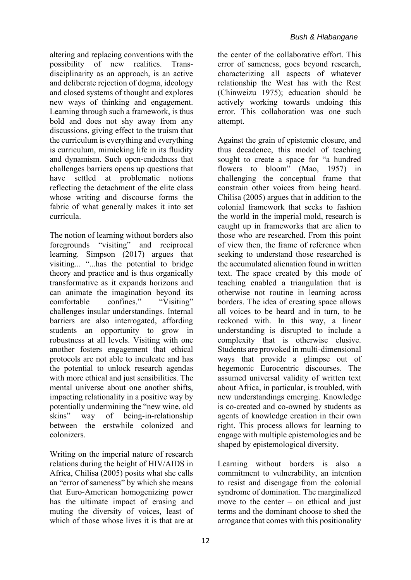altering and replacing conventions with the possibility of new realities. Transdisciplinarity as an approach, is an active and deliberate rejection of dogma, ideology and closed systems of thought and explores new ways of thinking and engagement. Learning through such a framework, is thus bold and does not shy away from any discussions, giving effect to the truism that the curriculum is everything and everything is curriculum, mimicking life in its fluidity and dynamism. Such open-endedness that challenges barriers opens up questions that have settled at problematic notions reflecting the detachment of the elite class whose writing and discourse forms the fabric of what generally makes it into set curricula.

The notion of learning without borders also foregrounds "visiting" and reciprocal learning. Simpson (2017) argues that visiting... "...has the potential to bridge theory and practice and is thus organically transformative as it expands horizons and can animate the imagination beyond its comfortable confines." "Visiting" challenges insular understandings. Internal barriers are also interrogated, affording students an opportunity to grow in robustness at all levels. Visiting with one another fosters engagement that ethical protocols are not able to inculcate and has the potential to unlock research agendas with more ethical and just sensibilities. The mental universe about one another shifts, impacting relationality in a positive way by potentially undermining the "new wine, old skins" way of being-in-relationship between the erstwhile colonized and colonizers.

Writing on the imperial nature of research relations during the height of HIV/AIDS in Africa, Chilisa (2005) posits what she calls an "error of sameness" by which she means that Euro-American homogenizing power has the ultimate impact of erasing and muting the diversity of voices, least of which of those whose lives it is that are at

the center of the collaborative effort. This error of sameness, goes beyond research, characterizing all aspects of whatever relationship the West has with the Rest (Chinweizu 1975); education should be actively working towards undoing this error. This collaboration was one such attempt.

Against the grain of epistemic closure, and thus decadence, this model of teaching sought to create a space for "a hundred flowers to bloom" (Mao, 1957) in challenging the conceptual frame that constrain other voices from being heard. Chilisa (2005) argues that in addition to the colonial framework that seeks to fashion the world in the imperial mold, research is caught up in frameworks that are alien to those who are researched. From this point of view then, the frame of reference when seeking to understand those researched is the accumulated alienation found in written text. The space created by this mode of teaching enabled a triangulation that is otherwise not routine in learning across borders. The idea of creating space allows all voices to be heard and in turn, to be reckoned with. In this way, a linear understanding is disrupted to include a complexity that is otherwise elusive. Students are provoked in multi-dimensional ways that provide a glimpse out of hegemonic Eurocentric discourses. The assumed universal validity of written text about Africa, in particular, is troubled, with new understandings emerging. Knowledge is co-created and co-owned by students as agents of knowledge creation in their own right. This process allows for learning to engage with multiple epistemologies and be shaped by epistemological diversity.

Learning without borders is also a commitment to vulnerability, an intention to resist and disengage from the colonial syndrome of domination. The marginalized move to the center – on ethical and just terms and the dominant choose to shed the arrogance that comes with this positionality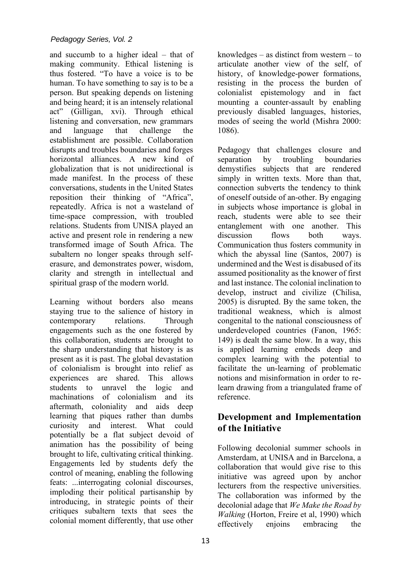and succumb to a higher ideal – that of making community. Ethical listening is thus fostered. "To have a voice is to be human. To have something to say is to be a person. But speaking depends on listening and being heard; it is an intensely relational act" (Gilligan, xvi). Through ethical listening and conversation, new grammars and language that challenge the establishment are possible. Collaboration disrupts and troubles boundaries and forges horizontal alliances. A new kind of globalization that is not unidirectional is made manifest. In the process of these conversations, students in the United States reposition their thinking of "Africa", repeatedly. Africa is not a wasteland of time-space compression, with troubled relations. Students from UNISA played an active and present role in rendering a new transformed image of South Africa. The subaltern no longer speaks through selferasure, and demonstrates power, wisdom, clarity and strength in intellectual and spiritual grasp of the modern world.

Learning without borders also means staying true to the salience of history in contemporary relations. Through engagements such as the one fostered by this collaboration, students are brought to the sharp understanding that history is as present as it is past. The global devastation of colonialism is brought into relief as experiences are shared. This allows students to unravel the logic and machinations of colonialism and its aftermath, coloniality and aids deep learning that piques rather than dumbs curiosity and interest. What could potentially be a flat subject devoid of animation has the possibility of being brought to life, cultivating critical thinking. Engagements led by students defy the control of meaning, enabling the following feats: ...interrogating colonial discourses, imploding their political partisanship by introducing, in strategic points of their critiques subaltern texts that sees the colonial moment differently, that use other knowledges – as distinct from western – to articulate another view of the self, of history, of knowledge-power formations, resisting in the process the burden of colonialist epistemology and in fact mounting a counter-assault by enabling previously disabled languages, histories, modes of seeing the world (Mishra 2000: 1086).

Pedagogy that challenges closure and separation by troubling boundaries demystifies subjects that are rendered simply in written texts. More than that, connection subverts the tendency to think of oneself outside of an-other. By engaging in subjects whose importance is global in reach, students were able to see their entanglement with one another. This discussion flows both ways. Communication thus fosters community in which the abyssal line (Santos, 2007) is undermined and the West is disabused of its assumed positionality as the knower of first and last instance. The colonial inclination to develop, instruct and civilize (Chilisa, 2005) is disrupted. By the same token, the traditional weakness, which is almost congenital to the national consciousness of underdeveloped countries (Fanon, 1965: 149) is dealt the same blow. In a way, this is applied learning embeds deep and complex learning with the potential to facilitate the un-learning of problematic notions and misinformation in order to relearn drawing from a triangulated frame of reference.

# **Development and Implementation of the Initiative**

Following decolonial summer schools in Amsterdam, at UNISA and in Barcelona, a collaboration that would give rise to this initiative was agreed upon by anchor lecturers from the respective universities. The collaboration was informed by the decolonial adage that *We Make the Road by Walking* (Horton, Freire et al, 1990) which effectively enjoins embracing the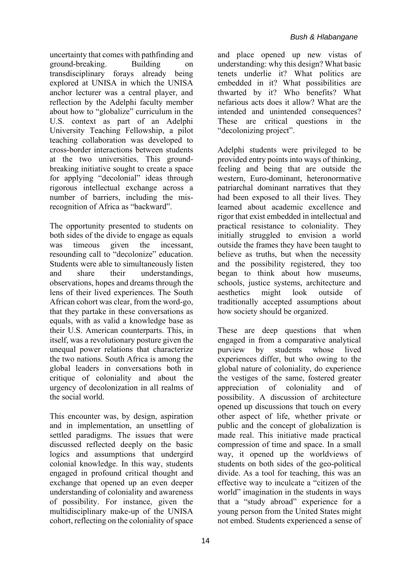uncertainty that comes with pathfinding and ground-breaking. Building on transdisciplinary forays already being explored at UNISA in which the UNISA anchor lecturer was a central player, and reflection by the Adelphi faculty member about how to "globalize" curriculum in the U.S. context as part of an Adelphi University Teaching Fellowship, a pilot teaching collaboration was developed to cross-border interactions between students at the two universities. This groundbreaking initiative sought to create a space for applying "decolonial" ideas through rigorous intellectual exchange across a number of barriers, including the misrecognition of Africa as "backward".

The opportunity presented to students on both sides of the divide to engage as equals was timeous given the incessant, resounding call to "decolonize" education. Students were able to simultaneously listen and share their understandings, observations, hopes and dreams through the lens of their lived experiences. The South African cohort was clear, from the word-go, that they partake in these conversations as equals, with as valid a knowledge base as their U.S. American counterparts. This, in itself, was a revolutionary posture given the unequal power relations that characterize the two nations. South Africa is among the global leaders in conversations both in critique of coloniality and about the urgency of decolonization in all realms of the social world.

This encounter was, by design, aspiration and in implementation, an unsettling of settled paradigms. The issues that were discussed reflected deeply on the basic logics and assumptions that undergird colonial knowledge. In this way, students engaged in profound critical thought and exchange that opened up an even deeper understanding of coloniality and awareness of possibility. For instance, given the multidisciplinary make-up of the UNISA cohort, reflecting on the coloniality of space and place opened up new vistas of understanding: why this design? What basic tenets underlie it? What politics are embedded in it? What possibilities are thwarted by it? Who benefits? What nefarious acts does it allow? What are the intended and unintended consequences? These are critical questions in the "decolonizing project".

Adelphi students were privileged to be provided entry points into ways of thinking, feeling and being that are outside the western, Euro-dominant, heteronormative patriarchal dominant narratives that they had been exposed to all their lives. They learned about academic excellence and rigor that exist embedded in intellectual and practical resistance to coloniality. They initially struggled to envision a world outside the frames they have been taught to believe as truths, but when the necessity and the possibility registered, they too began to think about how museums, schools, justice systems, architecture and aesthetics might look outside of traditionally accepted assumptions about how society should be organized.

These are deep questions that when engaged in from a comparative analytical purview by students whose lived experiences differ, but who owing to the global nature of coloniality, do experience the vestiges of the same, fostered greater appreciation of coloniality and of possibility. A discussion of architecture opened up discussions that touch on every other aspect of life, whether private or public and the concept of globalization is made real. This initiative made practical compression of time and space. In a small way, it opened up the worldviews of students on both sides of the geo-political divide. As a tool for teaching, this was an effective way to inculcate a "citizen of the world" imagination in the students in ways that a "study abroad" experience for a young person from the United States might not embed. Students experienced a sense of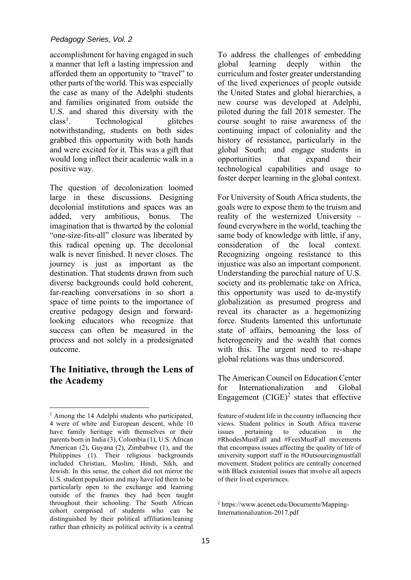#### *Pedagogy Series, Vol. 2*

accomplishment for having engaged in such a manner that left a lasting impression and afforded them an opportunity to "travel" to other parts of the world. This was especially the case as many of the Adelphi students and families originated from outside the U.S. and shared this diversity with the  $class<sup>1</sup>$ . Technological glitches notwithstanding, students on both sides grabbed this opportunity with both hands and were excited for it. This was a gift that would long inflect their academic walk in a positive way.

The question of decolonization loomed large in these discussions. Designing decolonial institutions and spaces was an added, very ambitious, bonus. The imagination that is thwarted by the colonial "one-size-fits-all" closure was liberated by this radical opening up. The decolonial walk is never finished. It never closes. The journey is just as important as the destination. That students drawn from such diverse backgrounds could hold coherent, far-reaching conversations in so short a space of time points to the importance of creative pedagogy design and forwardlooking educators who recognize that success can often be measured in the process and not solely in a predesignated outcome.

### **The Initiative, through the Lens of the Academy**

To address the challenges of embedding global learning deeply within the curriculum and foster greater understanding of the lived experiences of people outside the United States and global hierarchies, a new course was developed at Adelphi, piloted during the fall 2018 semester. The course sought to raise awareness of the continuing impact of coloniality and the history of resistance, particularly in the global South; and engage students in opportunities that expand their technological capabilities and usage to foster deeper learning in the global context.

For University of South Africa students, the goals were to expose them to the truism and reality of the westernized University – found everywhere in the world, teaching the same body of knowledge with little, if any, consideration of the local context. Recognizing ongoing resistance to this injustice was also an important component. Understanding the parochial nature of U.S. society and its problematic take on Africa, this opportunity was used to de-mystify globalization as presumed progress and reveal its character as a hegemonizing force. Students lamented this unfortunate state of affairs, bemoaning the loss of heterogeneity and the wealth that comes with this. The urgent need to re-shape global relations was thus underscored.

The American Council on Education Center for Internationalization and Global Engagement  $(CIGE)^2$  states that effective

<sup>&</sup>lt;sup>1</sup> Among the 14 Adelphi students who participated, 4 were of white and European descent, while 10 have family heritage with themselves or their parents born in India (3), Colombia (1), U.S. African American (2), Guyana (2), Zimbabwe (1), and the Philippines (1). Their religious backgrounds included Christian, Muslim, Hindi, Sikh, and Jewish. In this sense, the cohort did not mirror the U.S. student population and may have led them to be particularly open to the exchange and learning outside of the frames they had been taught throughout their schooling. The South African cohort comprised of students who can be distinguished by their political affiliation/leaning rather than ethnicity as political activity is a central

feature of student life in the country influencing their views. Student politics in South Africa traverse issues pertaining to education in the #RhodesMustFall and #FeesMustFall movements that encompass issues affecting the quality of life of university support staff in the #Outsourcingmustfall movement. Student politics are centrally concerned with Black existential issues that involve all aspects of their lived experiences.

<sup>2</sup> https://www.acenet.edu/Documents/Mapping-Internationalization-2017.pdf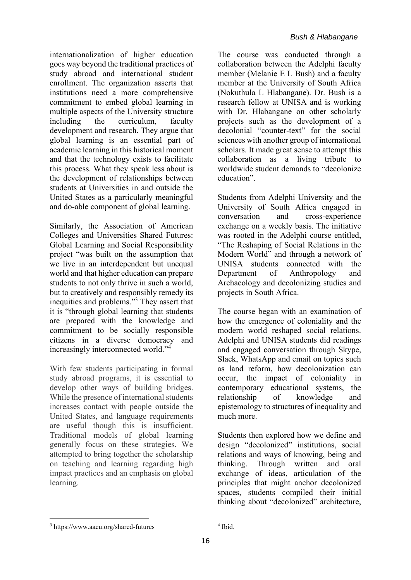internationalization of higher education goes way beyond the traditional practices of study abroad and international student enrollment. The organization asserts that institutions need a more comprehensive commitment to embed global learning in multiple aspects of the University structure including the curriculum, faculty development and research. They argue that global learning is an essential part of academic learning in this historical moment and that the technology exists to facilitate this process. What they speak less about is the development of relationships between students at Universities in and outside the United States as a particularly meaningful and do-able component of global learning.

Similarly, the Association of American Colleges and Universities Shared Futures: Global Learning and Social Responsibility project "was built on the assumption that we live in an interdependent but unequal world and that higher education can prepare students to not only thrive in such a world, but to creatively and responsibly remedy its inequities and problems."<sup>3</sup> They assert that it is "through global learning that students are prepared with the knowledge and commitment to be socially responsible citizens in a diverse democracy and increasingly interconnected world."<sup>4</sup>

With few students participating in formal study abroad programs, it is essential to develop other ways of building bridges. While the presence of international students increases contact with people outside the United States, and language requirements are useful though this is insufficient. Traditional models of global learning generally focus on these strategies. We attempted to bring together the scholarship on teaching and learning regarding high impact practices and an emphasis on global learning.

The course was conducted through a collaboration between the Adelphi faculty member (Melanie E L Bush) and a faculty member at the University of South Africa (Nokuthula L Hlabangane). Dr. Bush is a research fellow at UNISA and is working with Dr. Hlabangane on other scholarly projects such as the development of a decolonial "counter-text" for the social sciences with another group of international scholars. It made great sense to attempt this collaboration as a living tribute to worldwide student demands to "decolonize education".

Students from Adelphi University and the University of South Africa engaged in conversation and cross-experience exchange on a weekly basis. The initiative was rooted in the Adelphi course entitled, "The Reshaping of Social Relations in the Modern World" and through a network of UNISA students connected with the Department of Anthropology and Archaeology and decolonizing studies and projects in South Africa.

The course began with an examination of how the emergence of coloniality and the modern world reshaped social relations. Adelphi and UNISA students did readings and engaged conversation through Skype, Slack, WhatsApp and email on topics such as land reform, how decolonization can occur, the impact of coloniality in contemporary educational systems, the relationship of knowledge and epistemology to structures of inequality and much more.

Students then explored how we define and design "decolonized" institutions, social relations and ways of knowing, being and thinking. Through written and oral exchange of ideas, articulation of the principles that might anchor decolonized spaces, students compiled their initial thinking about "decolonized" architecture,

 $^3$ https://www.aacu.org/shared-futures

<sup>4</sup> Ibid.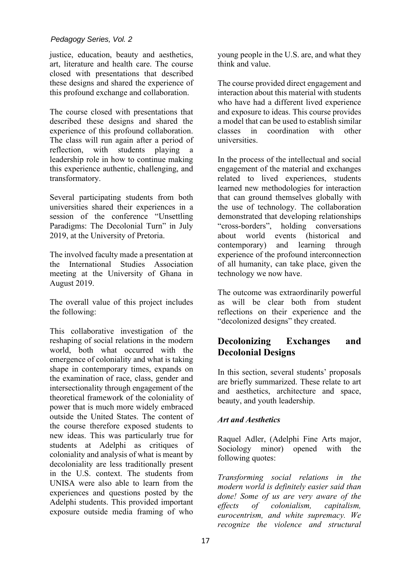justice, education, beauty and aesthetics, art, literature and health care. The course closed with presentations that described these designs and shared the experience of this profound exchange and collaboration.

The course closed with presentations that described these designs and shared the experience of this profound collaboration. The class will run again after a period of reflection, with students playing leadership role in how to continue making this experience authentic, challenging, and transformatory.

Several participating students from both universities shared their experiences in a session of the conference "Unsettling Paradigms: The Decolonial Turn" in July 2019, at the University of Pretoria.

The involved faculty made a presentation at the International Studies Association meeting at the University of Ghana in August 2019.

The overall value of this project includes the following:

This collaborative investigation of the reshaping of social relations in the modern world, both what occurred with the emergence of coloniality and what is taking shape in contemporary times, expands on the examination of race, class, gender and intersectionality through engagement of the theoretical framework of the coloniality of power that is much more widely embraced outside the United States. The content of the course therefore exposed students to new ideas. This was particularly true for students at Adelphi as critiques of coloniality and analysis of what is meant by decoloniality are less traditionally present in the U.S. context. The students from UNISA were also able to learn from the experiences and questions posted by the Adelphi students. This provided important exposure outside media framing of who

young people in the U.S. are, and what they think and value.

The course provided direct engagement and interaction about this material with students who have had a different lived experience and exposure to ideas. This course provides a model that can be used to establish similar classes in coordination with other universities.

In the process of the intellectual and social engagement of the material and exchanges related to lived experiences, students learned new methodologies for interaction that can ground themselves globally with the use of technology. The collaboration demonstrated that developing relationships "cross-borders", holding conversations about world events (historical and contemporary) and learning through experience of the profound interconnection of all humanity, can take place, given the technology we now have.

The outcome was extraordinarily powerful as will be clear both from student reflections on their experience and the "decolonized designs" they created.

# **Decolonizing Exchanges and Decolonial Designs**

In this section, several students' proposals are briefly summarized. These relate to art and aesthetics, architecture and space, beauty, and youth leadership.

#### *Art and Aesthetics*

Raquel Adler, (Adelphi Fine Arts major, Sociology minor) opened with the following quotes:

*Transforming social relations in the modern world is definitely easier said than done! Some of us are very aware of the effects of colonialism, capitalism, eurocentrism, and white supremacy. We recognize the violence and structural*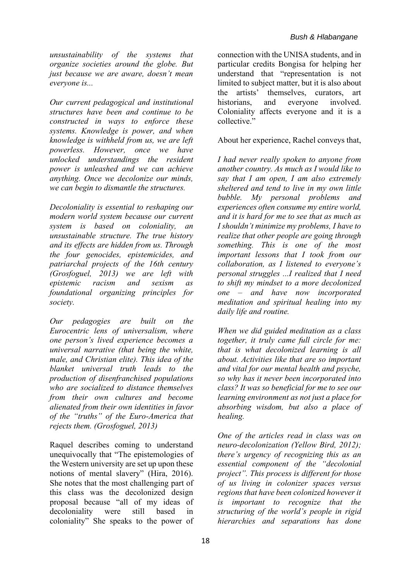*unsustainability of the systems that organize societies around the globe. But just because we are aware, doesn't mean everyone is...* 

*Our current pedagogical and institutional structures have been and continue to be constructed in ways to enforce these systems. Knowledge is power, and when knowledge is withheld from us, we are left powerless. However, once we have unlocked understandings the resident power is unleashed and we can achieve anything. Once we decolonize our minds, we can begin to dismantle the structures.* 

*Decoloniality is essential to reshaping our modern world system because our current system is based on coloniality, an unsustainable structure. The true history and its effects are hidden from us. Through the four genocides, epistemicides, and patriarchal projects of the 16th century (Grosfoguel, 2013) we are left with epistemic racism and sexism as foundational organizing principles for society.* 

*Our pedagogies are built on the Eurocentric lens of universalism, where one person's lived experience becomes a universal narrative (that being the white, male, and Christian elite). This idea of the blanket universal truth leads to the production of disenfranchised populations who are socialized to distance themselves from their own cultures and become alienated from their own identities in favor of the "truths" of the Euro-America that rejects them. (Grosfoguel, 2013)* 

Raquel describes coming to understand unequivocally that "The epistemologies of the Western university are set up upon these notions of mental slavery" (Hira, 2016). She notes that the most challenging part of this class was the decolonized design proposal because "all of my ideas of decoloniality were still based in coloniality" She speaks to the power of connection with the UNISA students, and in particular credits Bongisa for helping her understand that "representation is not limited to subject matter, but it is also about the artists' themselves, curators, art historians, and everyone involved. Coloniality affects everyone and it is a collective."

About her experience, Rachel conveys that,

*I had never really spoken to anyone from another country. As much as I would like to say that I am open, I am also extremely sheltered and tend to live in my own little bubble. My personal problems and experiences often consume my entire world, and it is hard for me to see that as much as I shouldn't minimize my problems, I have to realize that other people are going through something. This is one of the most important lessons that I took from our collaboration, as I listened to everyone's personal struggles ...I realized that I need to shift my mindset to a more decolonized one – and have now incorporated meditation and spiritual healing into my daily life and routine.* 

*When we did guided meditation as a class together, it truly came full circle for me: that is what decolonized learning is all about. Activities like that are so important and vital for our mental health and psyche, so why has it never been incorporated into class? It was so beneficial for me to see our learning environment as not just a place for absorbing wisdom, but also a place of healing.* 

*One of the articles read in class was on neuro-decolonization (Yellow Bird, 2012); there's urgency of recognizing this as an essential component of the "decolonial project". This process is different for those of us living in colonizer spaces versus regions that have been colonized however it is important to recognize that the structuring of the world's people in rigid hierarchies and separations has done*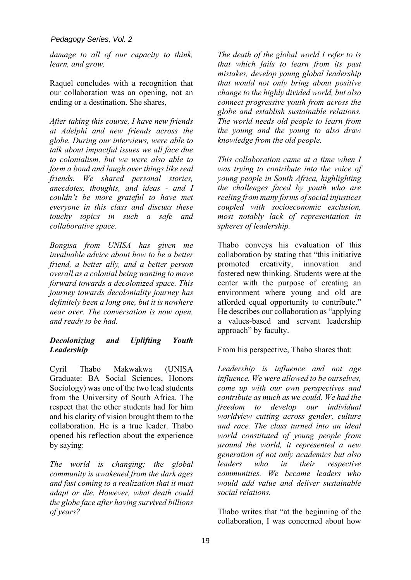#### *Pedagogy Series, Vol. 2*

*damage to all of our capacity to think, learn, and grow.* 

Raquel concludes with a recognition that our collaboration was an opening, not an ending or a destination. She shares,

*After taking this course, I have new friends at Adelphi and new friends across the globe. During our interviews, were able to talk about impactful issues we all face due to colonialism, but we were also able to form a bond and laugh over things like real friends. We shared personal stories, anecdotes, thoughts, and ideas - and I couldn't be more grateful to have met everyone in this class and discuss these touchy topics in such a safe and collaborative space.* 

*Bongisa from UNISA has given me invaluable advice about how to be a better friend, a better ally, and a better person overall as a colonial being wanting to move forward towards a decolonized space. This journey towards decoloniality journey has definitely been a long one, but it is nowhere near over. The conversation is now open, and ready to be had.* 

#### *Decolonizing and Uplifting Youth Leadership*

Cyril Thabo Makwakwa (UNISA Graduate: BA Social Sciences, Honors Sociology) was one of the two lead students from the University of South Africa. The respect that the other students had for him and his clarity of vision brought them to the collaboration. He is a true leader. Thabo opened his reflection about the experience by saying:

*The world is changing; the global community is awakened from the dark ages and fast coming to a realization that it must adapt or die. However, what death could the globe face after having survived billions of years?* 

*The death of the global world I refer to is that which fails to learn from its past mistakes, develop young global leadership that would not only bring about positive change to the highly divided world, but also connect progressive youth from across the globe and establish sustainable relations. The world needs old people to learn from the young and the young to also draw knowledge from the old people.* 

*This collaboration came at a time when I was trying to contribute into the voice of young people in South Africa, highlighting the challenges faced by youth who are reeling from many forms of social injustices coupled with socioeconomic exclusion, most notably lack of representation in spheres of leadership.* 

Thabo conveys his evaluation of this collaboration by stating that "this initiative promoted creativity, innovation and fostered new thinking. Students were at the center with the purpose of creating an environment where young and old are afforded equal opportunity to contribute." He describes our collaboration as "applying a values-based and servant leadership approach" by faculty.

From his perspective, Thabo shares that:

*Leadership is influence and not age influence. We were allowed to be ourselves, come up with our own perspectives and contribute as much as we could. We had the freedom to develop our individual worldview cutting across gender, culture and race. The class turned into an ideal world constituted of young people from around the world, it represented a new generation of not only academics but also leaders who in their respective communities. We became leaders who would add value and deliver sustainable social relations.* 

Thabo writes that "at the beginning of the collaboration, I was concerned about how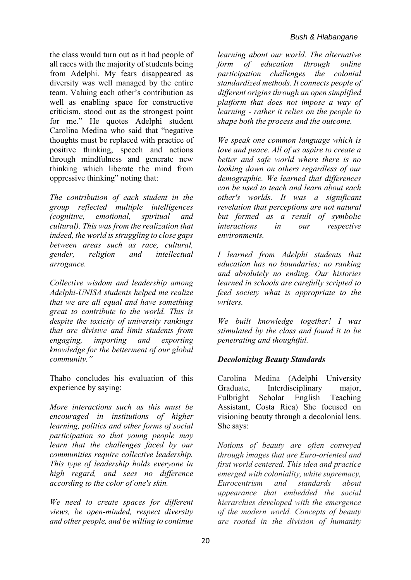the class would turn out as it had people of all races with the majority of students being from Adelphi. My fears disappeared as diversity was well managed by the entire team. Valuing each other's contribution as well as enabling space for constructive criticism, stood out as the strongest point for me." He quotes Adelphi student Carolina Medina who said that "negative thoughts must be replaced with practice of positive thinking, speech and actions through mindfulness and generate new thinking which liberate the mind from oppressive thinking" noting that:

*The contribution of each student in the group reflected multiple intelligences (cognitive, emotional, spiritual and cultural). This was from the realization that indeed, the world is struggling to close gaps between areas such as race, cultural, gender, religion and intellectual arrogance.* 

*Collective wisdom and leadership among Adelphi-UNISA students helped me realize that we are all equal and have something great to contribute to the world. This is despite the toxicity of university rankings that are divisive and limit students from engaging, importing and exporting knowledge for the betterment of our global community."* 

Thabo concludes his evaluation of this experience by saying:

*More interactions such as this must be encouraged in institutions of higher learning, politics and other forms of social participation so that young people may learn that the challenges faced by our communities require collective leadership. This type of leadership holds everyone in high regard, and sees no difference according to the color of one's skin.* 

*We need to create spaces for different views, be open-minded, respect diversity and other people, and be willing to continue* 

*learning about our world. The alternative form of education through online participation challenges the colonial standardized methods. It connects people of different origins through an open simplified platform that does not impose a way of learning - rather it relies on the people to shape both the process and the outcome.* 

*We speak one common language which is love and peace. All of us aspire to create a better and safe world where there is no looking down on others regardless of our demographic. We learned that differences can be used to teach and learn about each other's worlds. It was a significant revelation that perceptions are not natural but formed as a result of symbolic interactions in our respective environments.* 

*I learned from Adelphi students that education has no boundaries; no ranking and absolutely no ending. Our histories learned in schools are carefully scripted to feed society what is appropriate to the writers.* 

*We built knowledge together! I was stimulated by the class and found it to be penetrating and thoughtful.* 

#### *Decolonizing Beauty Standards*

Carolina Medina (Adelphi University Graduate, Interdisciplinary major, Fulbright Scholar English Teaching Assistant, Costa Rica) She focused on visioning beauty through a decolonial lens. She says:

*Notions of beauty are often conveyed through images that are Euro-oriented and first world centered. This idea and practice emerged with coloniality, white supremacy, Eurocentrism and standards about appearance that embedded the social hierarchies developed with the emergence of the modern world. Concepts of beauty are rooted in the division of humanity*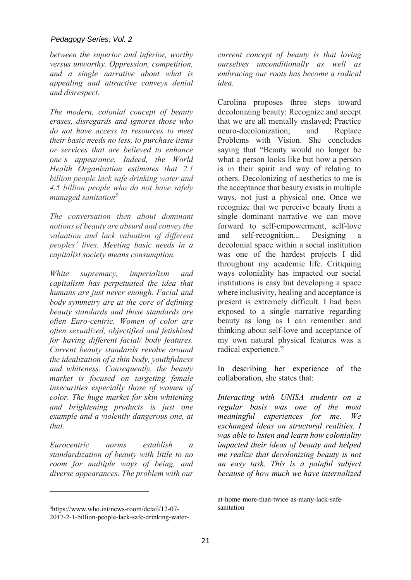*between the superior and inferior, worthy versus unworthy. Oppression, competition, and a single narrative about what is appealing and attractive conveys denial and disrespect.* 

*The modern, colonial concept of beauty erases, disregards and ignores those who do not have access to resources to meet their basic needs no less, to purchase items or services that are believed to enhance one's appearance. Indeed, the World Health Organization estimates that 2.1 billion people lack safe drinking water and 4.5 billion people who do not have safely managed sanitation<sup>5</sup>*

*The conversation then about dominant notions of beauty are absurd and convey the valuation and lack valuation of different peoples' lives. Meeting basic needs in a capitalist society means consumption.* 

*White supremacy, imperialism and capitalism has perpetuated the idea that humans are just never enough. Facial and body symmetry are at the core of defining beauty standards and those standards are often Euro-centric. Women of color are often sexualized, objectified and fetishized for having different facial/ body features. Current beauty standards revolve around the idealization of a thin body, youthfulness and whiteness. Consequently, the beauty market is focused on targeting female insecurities especially those of women of color. The huge market for skin whitening and brightening products is just one example and a violently dangerous one, at that.* 

*Eurocentric norms establish a standardization of beauty with little to no room for multiple ways of being, and diverse appearances. The problem with our*  *current concept of beauty is that loving ourselves unconditionally as well as embracing our roots has become a radical idea.* 

Carolina proposes three steps toward decolonizing beauty: Recognize and accept that we are all mentally enslaved; Practice neuro-decolonization; and Replace Problems with Vision. She concludes saying that "Beauty would no longer be what a person looks like but how a person is in their spirit and way of relating to others. Decolonizing of aesthetics to me is the acceptance that beauty exists in multiple ways, not just a physical one. Once we recognize that we perceive beauty from a single dominant narrative we can move forward to self-empowerment, self-love and self-recognition... Designing a decolonial space within a social institution was one of the hardest projects I did throughout my academic life. Critiquing ways coloniality has impacted our social institutions is easy but developing a space where inclusivity, healing and acceptance is present is extremely difficult. I had been exposed to a single narrative regarding beauty as long as I can remember and thinking about self-love and acceptance of my own natural physical features was a radical experience."

In describing her experience of the collaboration, she states that:

*Interacting with UNISA students on a regular basis was one of the most meaningful experiences for me. We exchanged ideas on structural realities. I was able to listen and learn how coloniality impacted their ideas of beauty and helped me realize that decolonizing beauty is not an easy task. This is a painful subject because of how much we have internalized* 

<sup>5</sup>https://www.who.int/news-room/detail/12-07- 2017-2-1-billion-people-lack-safe-drinking-water-

at-home-more-than-twice-as-many-lack-safesanitation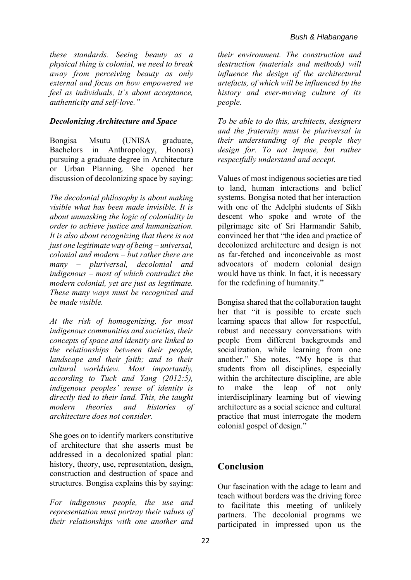*these standards. Seeing beauty as a physical thing is colonial, we need to break away from perceiving beauty as only external and focus on how empowered we feel as individuals, it's about acceptance, authenticity and self-love."* 

#### *Decolonizing Architecture and Space*

Bongisa Msutu (UNISA graduate, Bachelors in Anthropology, Honors) pursuing a graduate degree in Architecture or Urban Planning. She opened her discussion of decolonizing space by saying:

*The decolonial philosophy is about making visible what has been made invisible. It is about unmasking the logic of coloniality in order to achieve justice and humanization. It is also about recognizing that there is not just one legitimate way of being – universal, colonial and modern – but rather there are many – pluriversal, decolonial and indigenous – most of which contradict the modern colonial, yet are just as legitimate. These many ways must be recognized and be made visible.* 

*At the risk of homogenizing, for most indigenous communities and societies, their concepts of space and identity are linked to the relationships between their people, landscape and their faith; and to their cultural worldview. Most importantly, according to Tuck and Yang (2012:5), indigenous peoples' sense of identity is directly tied to their land. This, the taught modern theories and histories of architecture does not consider.* 

She goes on to identify markers constitutive of architecture that she asserts must be addressed in a decolonized spatial plan: history, theory, use, representation, design, construction and destruction of space and structures. Bongisa explains this by saying:

*For indigenous people, the use and representation must portray their values of their relationships with one another and* 

*their environment. The construction and destruction (materials and methods) will influence the design of the architectural artefacts, of which will be influenced by the history and ever-moving culture of its people.* 

*To be able to do this, architects, designers and the fraternity must be pluriversal in their understanding of the people they design for. To not impose, but rather respectfully understand and accept.* 

Values of most indigenous societies are tied to land, human interactions and belief systems. Bongisa noted that her interaction with one of the Adelphi students of Sikh descent who spoke and wrote of the pilgrimage site of Sri Harmandir Sahib, convinced her that "the idea and practice of decolonized architecture and design is not as far-fetched and inconceivable as most advocators of modern colonial design would have us think. In fact, it is necessary for the redefining of humanity."

Bongisa shared that the collaboration taught her that "it is possible to create such learning spaces that allow for respectful, robust and necessary conversations with people from different backgrounds and socialization, while learning from one another." She notes, "My hope is that students from all disciplines, especially within the architecture discipline, are able to make the leap of not only interdisciplinary learning but of viewing architecture as a social science and cultural practice that must interrogate the modern colonial gospel of design."

### **Conclusion**

Our fascination with the adage to learn and teach without borders was the driving force to facilitate this meeting of unlikely partners. The decolonial programs we participated in impressed upon us the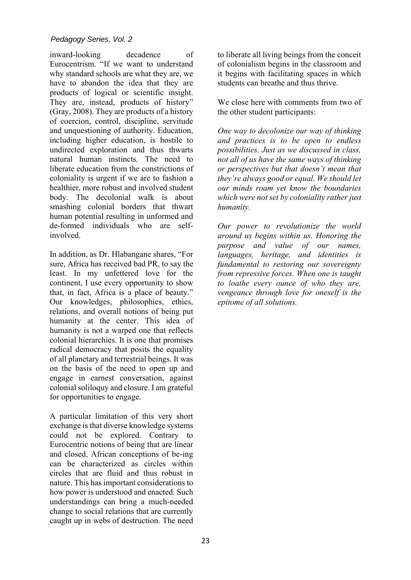inward-looking decadence of Eurocentrism. "If we want to understand why standard schools are what they are, we have to abandon the idea that they are products of logical or scientific insight. They are, instead, products of history" (Gray, 2008). They are products of a history of coercion, control, discipline, servitude and unquestioning of authority. Education, including higher education, is hostile to undirected exploration and thus thwarts natural human instincts. The need to liberate education from the constrictions of coloniality is urgent if we are to fashion a healthier, more robust and involved student body. The decolonial walk is about smashing colonial borders that thwart human potential resulting in unformed and de-formed individuals who are selfinvolved.

In addition, as Dr. Hlabangane shares, "For sure, Africa has received bad PR, to say the least. In my unfettered love for the continent, I use every opportunity to show that, in fact, Africa is a place of beauty." Our knowledges, philosophies, ethics, relations, and overall notions of being put humanity at the center. This idea of humanity is not a warped one that reflects colonial hierarchies. It is one that promises radical democracy that posits the equality of all planetary and terrestrial beings. It was on the basis of the need to open up and engage in earnest conversation, against colonial soliloquy and closure. I am grateful for opportunities to engage.

A particular limitation of this very short exchange is that diverse knowledge systems could not be explored. Contrary to Eurocentric notions of being that are linear and closed, African conceptions of be-ing can be characterized as circles within circles that are fluid and thus robust in nature. This has important considerations to how power is understood and enacted. Such understandings can bring a much-needed change to social relations that are currently caught up in webs of destruction. The need to liberate all living beings from the conceit of colonialism begins in the classroom and it begins with facilitating spaces in which students can breathe and thus thrive.

We close here with comments from two of the other student participants:

*One way to decolonize our way of thinking and practices is to be open to endless possibilities. Just as we discussed in class, not all of us have the same ways of thinking or perspectives but that doesn't mean that they're always good or equal. We should let our minds roam yet know the boundaries which were not set by coloniality rather just humanity.* 

*Our power to revolutionize the world around us begins within us. Honoring the purpose and value of our names, languages, heritage, and identities is fundamental to restoring our sovereignty from repressive forces. When one is taught to loathe every ounce of who they are, vengeance through love for oneself is the epitome of all solutions.*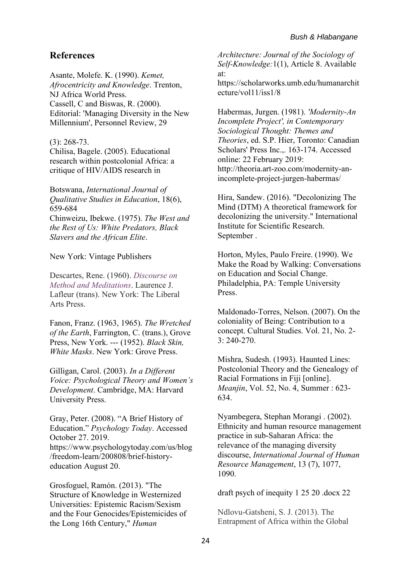### **References**

Asante, Molefe. K. (1990). *Kemet, Afrocentricity and Knowledge*. Trenton, NJ Africa World Press. Cassell, C and Biswas, R. (2000). Editorial: 'Managing Diversity in the New Millennium', Personnel Review, 29

(3): 268-73. Chilisa, Bagele. (2005). Educational research within postcolonial Africa: a critique of HIV/AIDS research in

Botswana, *International Journal of Qualitative Studies in Education*, 18(6), 659-684 Chinweizu, Ibekwe. (1975). *The West and the Rest of Us: White Predators, Black Slavers and the African Elite*.

New York: Vintage Publishers

Descartes, Rene. (1960). *Discourse on Method and Meditations*. Laurence J. Lafleur (trans). New York: The Liberal Arts Press.

Fanon, Franz. (1963, 1965). *The Wretched of the Earth*, Farrington, C. (trans.), Grove Press, New York. --- (1952). *Black Skin, White Masks*. New York: Grove Press.

Gilligan, Carol. (2003). *In a Different Voice: Psychological Theory and Women's Development*. Cambridge, MA: Harvard University Press.

Gray, Peter. (2008). "A Brief History of Education." *Psychology Today*. Accessed October 27. 2019. https://www.psychologytoday.com/us/blog /freedom-learn/200808/brief-historyeducation August 20.

Grosfoguel, Ramón. (2013). "The Structure of Knowledge in Westernized Universities: Epistemic Racism/Sexism and the Four Genocides/Epistemicides of the Long 16th Century," *Human* 

*Architecture: Journal of the Sociology of Self-Knowledge:*1(1), Article 8. Available at:

https://scholarworks.umb.edu/humanarchit ecture/vol11/iss1/8

Habermas, Jurgen. (1981). *'Modernity-An Incomplete Project', in Contemporary Sociological Thought: Themes and Theories*, ed. S.P. Hier, Toronto: Canadian Scholars' Press Inc.,. 163-174. Accessed online: 22 February 2019: http://theoria.art-zoo.com/modernity-anincomplete-project-jurgen-habermas/

Hira, Sandew. (2016). "Decolonizing The Mind (DTM) A theoretical framework for decolonizing the university." International Institute for Scientific Research. September .

Horton, Myles, Paulo Freire. (1990). We Make the Road by Walking: Conversations on Education and Social Change. Philadelphia, PA: Temple University Press.

Maldonado-Torres, Nelson. (2007). On the coloniality of Being: Contribution to a concept. Cultural Studies. Vol. 21, No. 2- 3: 240-270.

Mishra, Sudesh. (1993). Haunted Lines: Postcolonial Theory and the Genealogy of Racial Formations in Fiji [online]. *Meanjin*, Vol. 52, No. 4, Summer : 623- 634.

Nyambegera, Stephan Morangi . (2002). Ethnicity and human resource management practice in sub-Saharan Africa: the relevance of the managing diversity discourse, *International Journal of Human Resource Management*, 13 (7), 1077, 1090.

draft psych of inequity 1 25 20 .docx 22

Ndlovu-Gatsheni, S. J. (2013). The Entrapment of Africa within the Global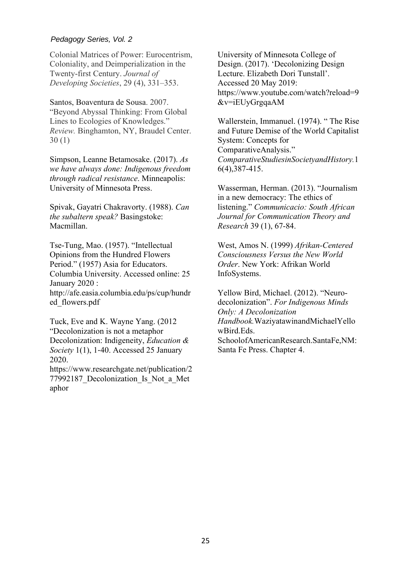#### *Pedagogy Series, Vol. 2*

Colonial Matrices of Power: Eurocentrism, Coloniality, and Deimperialization in the Twenty-first Century. *Journal of Developing Societies*, 29 (4), 331–353.

Santos, Boaventura de Sousa. 2007. "Beyond Abyssal Thinking: From Global Lines to Ecologies of Knowledges." *Review.* Binghamton, NY, Braudel Center. 30 (1)

Simpson, Leanne Betamosake. (2017). *As we have always done: Indigenous freedom through radical resistance*. Minneapolis: University of Minnesota Press.

Spivak, Gayatri Chakravorty. (1988). *Can the subaltern speak?* Basingstoke: Macmillan.

Tse-Tung, Mao. (1957). "Intellectual Opinions from the Hundred Flowers Period." (1957) Asia for Educators. Columbia University. Accessed online: 25 January 2020 : http://afe.easia.columbia.edu/ps/cup/hundr ed\_flowers.pdf

Tuck, Eve and K. Wayne Yang. (2012 "Decolonization is not a metaphor Decolonization: Indigeneity, *Education & Society* 1(1), 1‐40. Accessed 25 January 2020.

https://www.researchgate.net/publication/2 77992187 Decolonization Is Not a Met aphor

University of Minnesota College of Design. (2017). 'Decolonizing Design Lecture. Elizabeth Dori Tunstall'. Accessed 20 May 2019: https://www.youtube.com/watch?reload=9 &v=iEUyGrgqaAM

Wallerstein, Immanuel. (1974). " The Rise and Future Demise of the World Capitalist System: Concepts for ComparativeAnalysis." *ComparativeStudiesinSocietyandHistory.*1 6(4),387-415.

Wasserman, Herman. (2013). "Journalism in a new democracy: The ethics of listening." *Communicacio: South African Journal for Communication Theory and Research* 39 (1), 67-84.

West, Amos N. (1999) *Afrikan-Centered Consciousness Versus the New World Order*. New York: Afrikan World InfoSystems.

Yellow Bird, Michael. (2012). "Neurodecolonization". *For Indigenous Minds Only: A Decolonization Handbook.*WaziyatawinandMichaelYello wBird.Eds. SchoolofAmericanResearch.SantaFe,NM:

Santa Fe Press. Chapter 4.